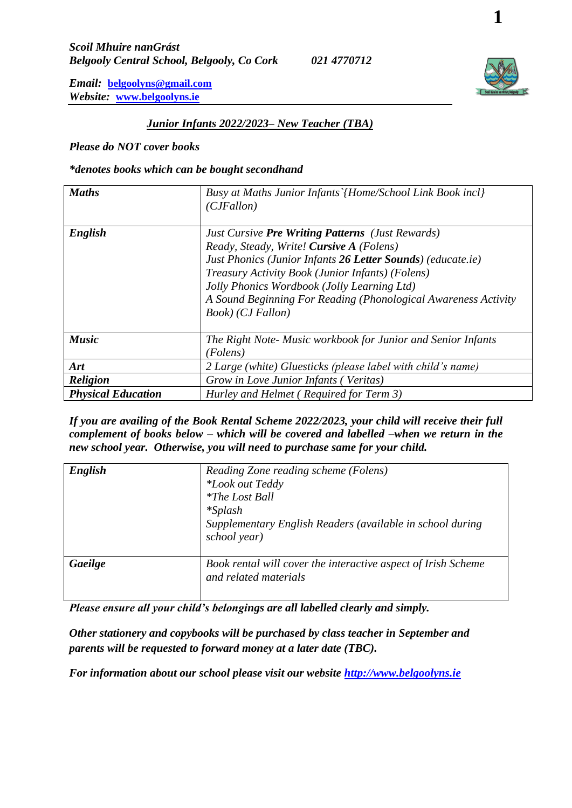## *Junior Infants 2022/2023– New Teacher (TBA)*

*Please do NOT cover books*

#### *\*denotes books which can be bought secondhand*

| <b>Maths</b>              | Busy at Maths Junior Infants`{Home/School Link Book incl}<br>(CJFallon)                                                                                                                                                                                                                                                                                      |
|---------------------------|--------------------------------------------------------------------------------------------------------------------------------------------------------------------------------------------------------------------------------------------------------------------------------------------------------------------------------------------------------------|
| English                   | <b>Just Cursive Pre Writing Patterns</b> (Just Rewards)<br>Ready, Steady, Write! Cursive A (Folens)<br>Just Phonics (Junior Infants 26 Letter Sounds) (educate.ie)<br>Treasury Activity Book (Junior Infants) (Folens)<br>Jolly Phonics Wordbook (Jolly Learning Ltd)<br>A Sound Beginning For Reading (Phonological Awareness Activity<br>Book) (CJ Fallon) |
| <b>Music</b>              | The Right Note- Music workbook for Junior and Senior Infants<br>(Folens)                                                                                                                                                                                                                                                                                     |
| Art                       | 2 Large (white) Gluesticks (please label with child's name)                                                                                                                                                                                                                                                                                                  |
| <b>Religion</b>           | Grow in Love Junior Infants (Veritas)                                                                                                                                                                                                                                                                                                                        |
| <b>Physical Education</b> | Hurley and Helmet (Required for Term 3)                                                                                                                                                                                                                                                                                                                      |

*If you are availing of the Book Rental Scheme 2022/2023, your child will receive their full complement of books below – which will be covered and labelled –when we return in the new school year. Otherwise, you will need to purchase same for your child.*

| English | Reading Zone reading scheme (Folens)<br>*Look out Teddy<br><i>*The Lost Ball</i><br>$*Splash$<br>Supplementary English Readers (available in school during<br>school year) |
|---------|----------------------------------------------------------------------------------------------------------------------------------------------------------------------------|
| Gaeilge | Book rental will cover the interactive aspect of Irish Scheme<br>and related materials                                                                                     |

*Please ensure all your child's belongings are all labelled clearly and simply.*

*Other stationery and copybooks will be purchased by class teacher in September and parents will be requested to forward money at a later date (TBC).*

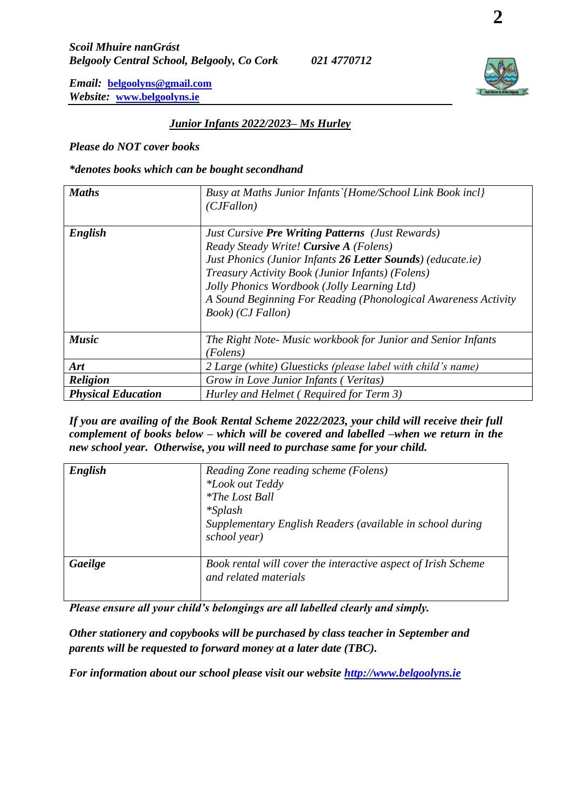## *Junior Infants 2022/2023– Ms Hurley*

*Please do NOT cover books*

### *\*denotes books which can be bought secondhand*

| <b>Maths</b>              | Busy at Maths Junior Infants`{Home/School Link Book incl}<br>(CJFallon)                                                                                                                                                                                                                                                                                    |
|---------------------------|------------------------------------------------------------------------------------------------------------------------------------------------------------------------------------------------------------------------------------------------------------------------------------------------------------------------------------------------------------|
| English                   | <b>Just Cursive Pre Writing Patterns (Just Rewards)</b><br>Ready Steady Write! Cursive A (Folens)<br>Just Phonics (Junior Infants 26 Letter Sounds) (educate.ie)<br>Treasury Activity Book (Junior Infants) (Folens)<br>Jolly Phonics Wordbook (Jolly Learning Ltd)<br>A Sound Beginning For Reading (Phonological Awareness Activity<br>Book) (CJ Fallon) |
| <b>Music</b>              | The Right Note- Music workbook for Junior and Senior Infants<br>(Folens)                                                                                                                                                                                                                                                                                   |
| Art                       | 2 Large (white) Gluesticks (please label with child's name)                                                                                                                                                                                                                                                                                                |
| <b>Religion</b>           | Grow in Love Junior Infants (Veritas)                                                                                                                                                                                                                                                                                                                      |
| <b>Physical Education</b> | Hurley and Helmet (Required for Term 3)                                                                                                                                                                                                                                                                                                                    |

*If you are availing of the Book Rental Scheme 2022/2023, your child will receive their full complement of books below – which will be covered and labelled –when we return in the new school year. Otherwise, you will need to purchase same for your child.*

| English | Reading Zone reading scheme (Folens)<br>*Look out Teddy<br><i>*The Lost Ball</i><br>$*Splash$<br>Supplementary English Readers (available in school during<br>school year) |
|---------|----------------------------------------------------------------------------------------------------------------------------------------------------------------------------|
| Gaeilge | Book rental will cover the interactive aspect of Irish Scheme<br>and related materials                                                                                     |

*Please ensure all your child's belongings are all labelled clearly and simply.*

*Other stationery and copybooks will be purchased by class teacher in September and parents will be requested to forward money at a later date (TBC).*

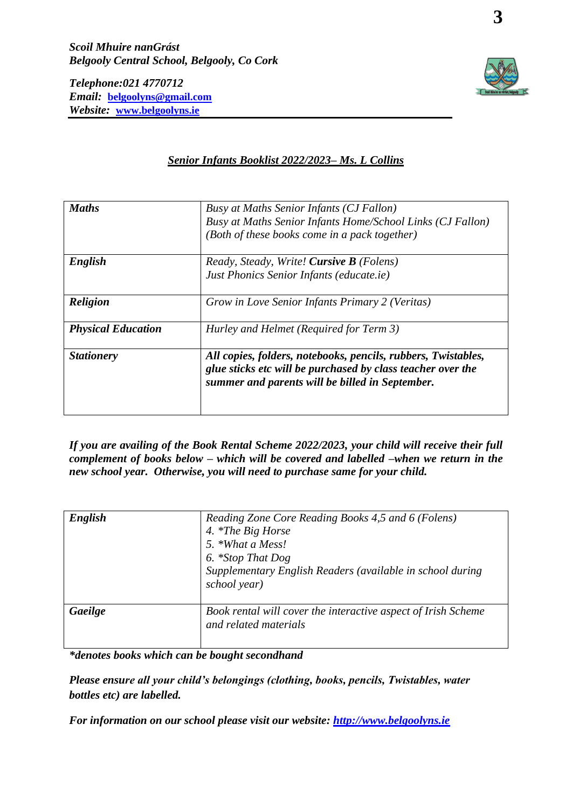*Telephone:021 4770712 Email:* **[belgoolyns@gmail.com](mailto:belgoolyns@gmail.com)** *Website:* **[www.belgoolyns.ie](http://www.belgoolyns.ie/)**



## *Senior Infants Booklist 2022/2023– Ms. L Collins*

| <b>Maths</b>              | Busy at Maths Senior Infants (CJ Fallon)<br>Busy at Maths Senior Infants Home/School Links (CJ Fallon)<br>(Both of these books come in a pack together)                         |
|---------------------------|---------------------------------------------------------------------------------------------------------------------------------------------------------------------------------|
| English                   | Ready, Steady, Write! Cursive B (Folens)<br>Just Phonics Senior Infants (educate.ie)                                                                                            |
| <b>Religion</b>           | Grow in Love Senior Infants Primary 2 (Veritas)                                                                                                                                 |
| <b>Physical Education</b> | Hurley and Helmet (Required for Term 3)                                                                                                                                         |
| <b>Stationery</b>         | All copies, folders, notebooks, pencils, rubbers, Twistables,<br>glue sticks etc will be purchased by class teacher over the<br>summer and parents will be billed in September. |

*If you are availing of the Book Rental Scheme 2022/2023, your child will receive their full complement of books below – which will be covered and labelled –when we return in the new school year. Otherwise, you will need to purchase same for your child.*

| English | Reading Zone Core Reading Books 4,5 and 6 (Folens)<br>4. *The Big Horse<br>5. *What a Mess!<br>6. *Stop That Dog<br>Supplementary English Readers (available in school during<br>school year) |
|---------|-----------------------------------------------------------------------------------------------------------------------------------------------------------------------------------------------|
| Gaeilge | Book rental will cover the interactive aspect of Irish Scheme<br>and related materials                                                                                                        |

*\*denotes books which can be bought secondhand*

*Please ensure all your child's belongings (clothing, books, pencils, Twistables, water bottles etc) are labelled.*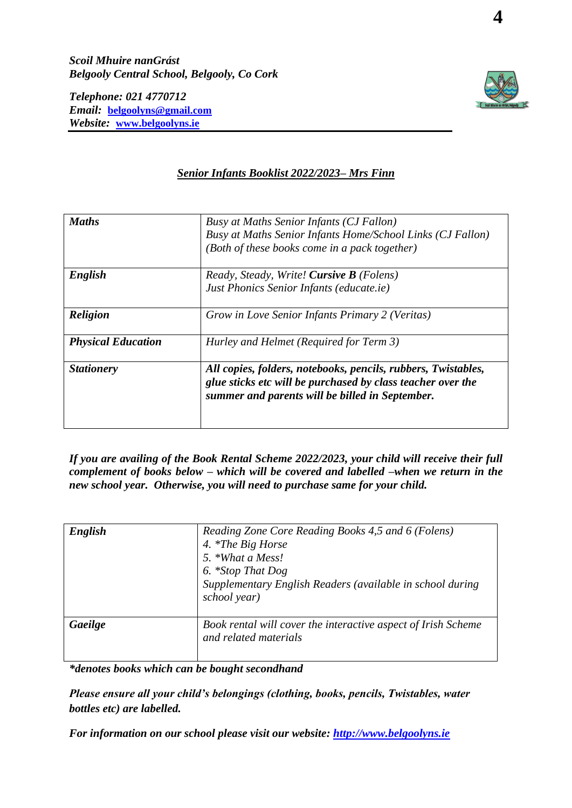*Scoil Mhuire nanGrást Belgooly Central School, Belgooly, Co Cork*

*Telephone: 021 4770712 Email:* **[belgoolyns@gmail.com](mailto:belgoolyns@gmail.com)** *Website:* **[www.belgoolyns.ie](http://www.belgoolyns.ie/)**



## *Senior Infants Booklist 2022/2023– Mrs Finn*

| <b>Maths</b>              | Busy at Maths Senior Infants (CJ Fallon)<br>Busy at Maths Senior Infants Home/School Links (CJ Fallon)<br>(Both of these books come in a pack together)                         |
|---------------------------|---------------------------------------------------------------------------------------------------------------------------------------------------------------------------------|
| English                   | Ready, Steady, Write! Cursive B (Folens)<br>Just Phonics Senior Infants (educate.ie)                                                                                            |
| <b>Religion</b>           | Grow in Love Senior Infants Primary 2 (Veritas)                                                                                                                                 |
| <b>Physical Education</b> | Hurley and Helmet (Required for Term 3)                                                                                                                                         |
| <b>Stationery</b>         | All copies, folders, notebooks, pencils, rubbers, Twistables,<br>glue sticks etc will be purchased by class teacher over the<br>summer and parents will be billed in September. |

*If you are availing of the Book Rental Scheme 2022/2023, your child will receive their full complement of books below – which will be covered and labelled –when we return in the new school year. Otherwise, you will need to purchase same for your child.*

| English | Reading Zone Core Reading Books 4,5 and 6 (Folens)<br>4. *The Big Horse<br>5. *What a Mess!<br>6. *Stop That Dog<br>Supplementary English Readers (available in school during<br>school year) |
|---------|-----------------------------------------------------------------------------------------------------------------------------------------------------------------------------------------------|
| Gaeilge | Book rental will cover the interactive aspect of Irish Scheme<br>and related materials                                                                                                        |

*\*denotes books which can be bought secondhand*

*Please ensure all your child's belongings (clothing, books, pencils, Twistables, water bottles etc) are labelled.*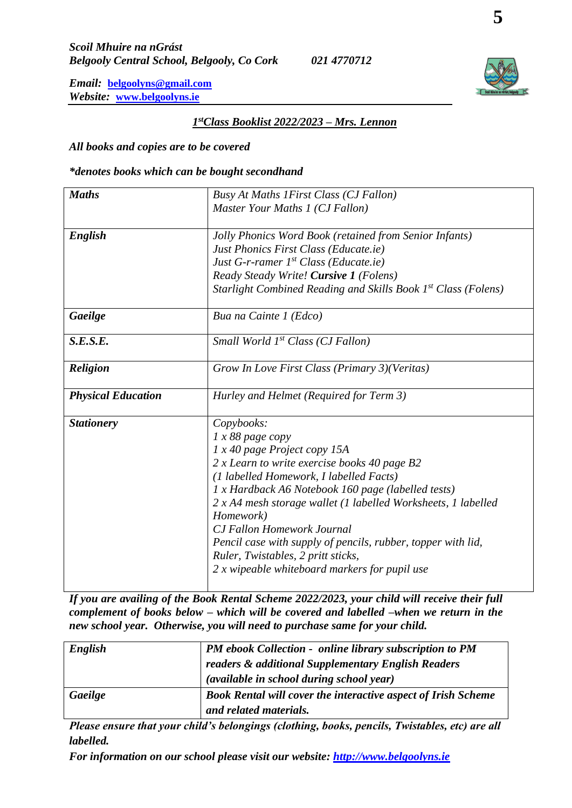## *1 stClass Booklist 2022/2023 – Mrs. Lennon*

*All books and copies are to be covered*

*\*denotes books which can be bought secondhand*

| <b>Maths</b>              | Busy At Maths 1 First Class (CJ Fallon)                       |
|---------------------------|---------------------------------------------------------------|
|                           | Master Your Maths 1 (CJ Fallon)                               |
|                           |                                                               |
| English                   | Jolly Phonics Word Book (retained from Senior Infants)        |
|                           | Just Phonics First Class (Educate.ie)                         |
|                           | Just G-r-ramer $1^{st}$ Class (Educate.ie)                    |
|                           | Ready Steady Write! Cursive 1 (Folens)                        |
|                           | Starlight Combined Reading and Skills Book 1st Class (Folens) |
| Gaeilge                   | Bua na Cainte 1 (Edco)                                        |
| S.E.S.E.                  | Small World 1 <sup>st</sup> Class (CJ Fallon)                 |
| <b>Religion</b>           | Grow In Love First Class (Primary 3)(Veritas)                 |
| <b>Physical Education</b> | Hurley and Helmet (Required for Term 3)                       |
| <b>Stationery</b>         | Copybooks:                                                    |
|                           | $1 x 88$ page copy                                            |
|                           | 1 x 40 page Project copy 15A                                  |
|                           | 2 x Learn to write exercise books 40 page B2                  |
|                           | (1 labelled Homework, I labelled Facts)                       |
|                           | 1 x Hardback A6 Notebook 160 page (labelled tests)            |
|                           | 2 x A4 mesh storage wallet (1 labelled Worksheets, 1 labelled |
|                           | Homework)                                                     |
|                           | <b>CJ Fallon Homework Journal</b>                             |
|                           | Pencil case with supply of pencils, rubber, topper with lid,  |
|                           | Ruler, Twistables, 2 pritt sticks,                            |
|                           |                                                               |
|                           | 2 x wipeable whiteboard markers for pupil use                 |

*If you are availing of the Book Rental Scheme 2022/2023, your child will receive their full complement of books below – which will be covered and labelled –when we return in the new school year. Otherwise, you will need to purchase same for your child.*

| English | PM ebook Collection - online library subscription to PM<br>readers & additional Supplementary English Readers<br>(available in school during school year) |
|---------|-----------------------------------------------------------------------------------------------------------------------------------------------------------|
| Gaeilge | Book Rental will cover the interactive aspect of Irish Scheme<br>and related materials.                                                                   |

*Please ensure that your child's belongings (clothing, books, pencils, Twistables, etc) are all labelled.*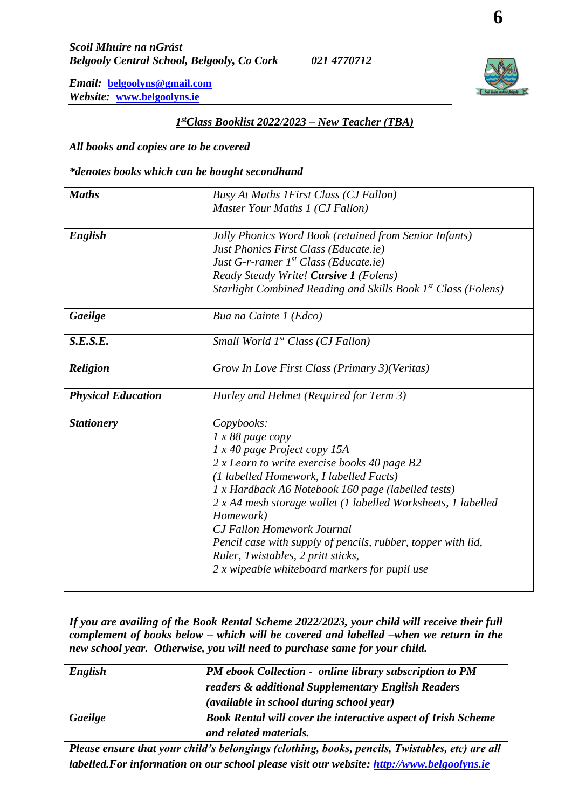## *1 stClass Booklist 2022/2023 – New Teacher (TBA)*

*All books and copies are to be covered*

*\*denotes books which can be bought secondhand*

| <b>Maths</b>              | Busy At Maths 1 First Class (CJ Fallon)                       |
|---------------------------|---------------------------------------------------------------|
|                           | Master Your Maths 1 (CJ Fallon)                               |
|                           |                                                               |
| English                   | Jolly Phonics Word Book (retained from Senior Infants)        |
|                           | Just Phonics First Class (Educate.ie)                         |
|                           | Just G-r-ramer $1^{st}$ Class (Educate.ie)                    |
|                           | Ready Steady Write! Cursive 1 (Folens)                        |
|                           | Starlight Combined Reading and Skills Book 1st Class (Folens) |
| Gaeilge                   | Bua na Cainte 1 (Edco)                                        |
| S.E.S.E.                  | Small World 1 <sup>st</sup> Class (CJ Fallon)                 |
| <b>Religion</b>           | Grow In Love First Class (Primary 3)(Veritas)                 |
| <b>Physical Education</b> | Hurley and Helmet (Required for Term 3)                       |
| <b>Stationery</b>         | Copybooks:                                                    |
|                           | 1 x 88 page copy                                              |
|                           | 1 x 40 page Project copy 15A                                  |
|                           | 2 x Learn to write exercise books 40 page B2                  |
|                           | (1 labelled Homework, I labelled Facts)                       |
|                           | 1 x Hardback A6 Notebook 160 page (labelled tests)            |
|                           | 2 x A4 mesh storage wallet (1 labelled Worksheets, 1 labelled |
|                           | Homework)                                                     |
|                           | <b>CJ Fallon Homework Journal</b>                             |
|                           | Pencil case with supply of pencils, rubber, topper with lid,  |
|                           | Ruler, Twistables, 2 pritt sticks,                            |
|                           | 2 x wipeable whiteboard markers for pupil use                 |
|                           |                                                               |

*If you are availing of the Book Rental Scheme 2022/2023, your child will receive their full complement of books below – which will be covered and labelled –when we return in the new school year. Otherwise, you will need to purchase same for your child.*

| English | <b>PM</b> ebook Collection - online library subscription to PM       |
|---------|----------------------------------------------------------------------|
|         | readers & additional Supplementary English Readers                   |
|         | (available in school during school year)                             |
| Gaeilge | <b>Book Rental will cover the interactive aspect of Irish Scheme</b> |
|         | and related materials.                                               |

*Please ensure that your child's belongings (clothing, books, pencils, Twistables, etc) are all labelled.For information on our school please visit our website: [http://www.belgoolyns.ie](http://www.belgoolyns.ie/)*

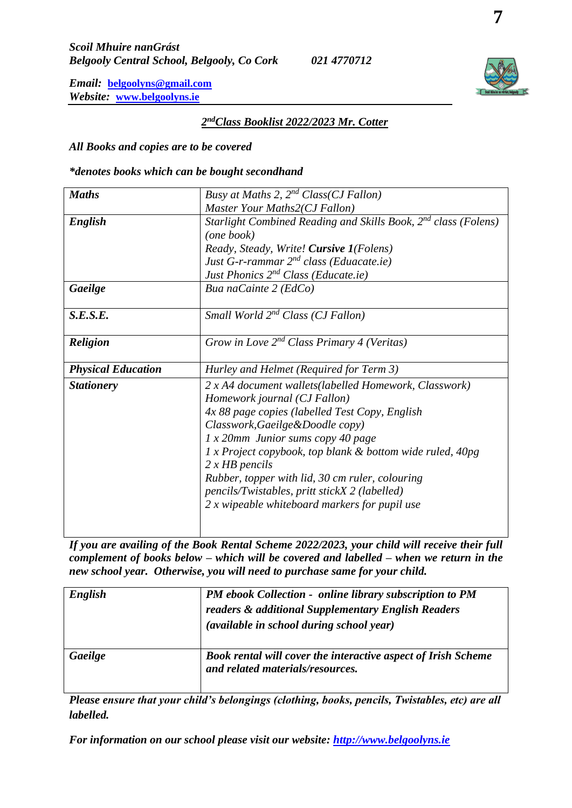### *2 ndClass Booklist 2022/2023 Mr. Cotter*

*All Books and copies are to be covered*

*\*denotes books which can be bought secondhand*

| <b>Maths</b>              | Busy at Maths 2, $2^{nd}$ Class(CJ Fallon)                                 |
|---------------------------|----------------------------------------------------------------------------|
|                           | Master Your Maths2(CJ Fallon)                                              |
| English                   | Starlight Combined Reading and Skills Book, 2 <sup>nd</sup> class (Folens) |
|                           | (one book)                                                                 |
|                           | Ready, Steady, Write! Cursive 1(Folens)                                    |
|                           | Just G-r-rammar $2^{nd}$ class (Eduacate.ie)                               |
|                           | Just Phonics 2 <sup>nd</sup> Class (Educate.ie)                            |
| Gaeilge                   | Bua naCainte 2 (EdCo)                                                      |
|                           |                                                                            |
| S.E.S.E.                  | Small World $2^{nd}$ Class (CJ Fallon)                                     |
|                           |                                                                            |
| <b>Religion</b>           | Grow in Love $2^{nd}$ Class Primary 4 (Veritas)                            |
|                           |                                                                            |
|                           |                                                                            |
| <b>Physical Education</b> | Hurley and Helmet (Required for Term 3)                                    |
| <b>Stationery</b>         | 2 x A4 document wallets(labelled Homework, Classwork)                      |
|                           | Homework journal (CJ Fallon)                                               |
|                           | 4x 88 page copies (labelled Test Copy, English                             |
|                           | Classwork, Gaeilge & Doodle copy)                                          |
|                           | $1 x 20$ mm Junior sums copy 40 page                                       |
|                           | 1 x Project copybook, top blank & bottom wide ruled, 40pg                  |
|                           | $2 x HB$ pencils                                                           |
|                           | Rubber, topper with lid, 30 cm ruler, colouring                            |
|                           | pencils/Twistables, pritt stickX 2 (labelled)                              |
|                           | 2 x wipeable whiteboard markers for pupil use                              |
|                           |                                                                            |

*If you are availing of the Book Rental Scheme 2022/2023, your child will receive their full complement of books below – which will be covered and labelled – when we return in the new school year. Otherwise, you will need to purchase same for your child.*

| English | <b>PM</b> ebook Collection - online library subscription to PM<br>readers & additional Supplementary English Readers<br>(available in school during school year) |
|---------|------------------------------------------------------------------------------------------------------------------------------------------------------------------|
| Gaeilge | Book rental will cover the interactive aspect of Irish Scheme<br>and related materials/resources.                                                                |

*Please ensure that your child's belongings (clothing, books, pencils, Twistables, etc) are all labelled.*

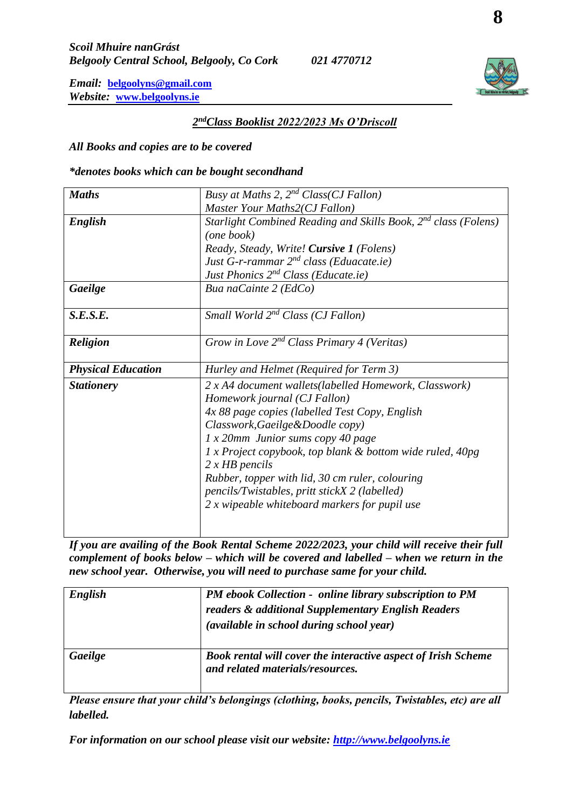## *2 ndClass Booklist 2022/2023 Ms O'Driscoll*

*All Books and copies are to be covered*

*\*denotes books which can be bought secondhand*

| <b>Maths</b>              | Busy at Maths 2, $2^{nd}$ Class(CJ Fallon)                                 |
|---------------------------|----------------------------------------------------------------------------|
|                           | Master Your Maths2(CJ Fallon)                                              |
| English                   | Starlight Combined Reading and Skills Book, 2 <sup>nd</sup> class (Folens) |
|                           | (one book)                                                                 |
|                           | Ready, Steady, Write! Cursive 1 (Folens)                                   |
|                           | Just G-r-rammar $2^{nd}$ class (Eduacate.ie)                               |
|                           | Just Phonics 2 <sup>nd</sup> Class (Educate.ie)                            |
| Gaeilge                   | Bua naCainte 2 (EdCo)                                                      |
|                           |                                                                            |
| S.E.S.E.                  | Small World 2 <sup>nd</sup> Class (CJ Fallon)                              |
|                           |                                                                            |
| <b>Religion</b>           | Grow in Love $2^{nd}$ Class Primary 4 (Veritas)                            |
|                           |                                                                            |
|                           |                                                                            |
| <b>Physical Education</b> | Hurley and Helmet (Required for Term 3)                                    |
| <b>Stationery</b>         | 2 x A4 document wallets(labelled Homework, Classwork)                      |
|                           | Homework journal (CJ Fallon)                                               |
|                           | 4x 88 page copies (labelled Test Copy, English                             |
|                           | Classwork, Gaeilge & Doodle copy)                                          |
|                           | $1 x 20$ mm Junior sums copy 40 page                                       |
|                           | 1 x Project copybook, top blank & bottom wide ruled, 40pg                  |
|                           | $2 x HB$ pencils                                                           |
|                           | Rubber, topper with lid, 30 cm ruler, colouring                            |
|                           | pencils/Twistables, pritt stickX 2 (labelled)                              |
|                           | 2 x wipeable whiteboard markers for pupil use                              |
|                           |                                                                            |

*If you are availing of the Book Rental Scheme 2022/2023, your child will receive their full complement of books below – which will be covered and labelled – when we return in the new school year. Otherwise, you will need to purchase same for your child.*

| English | PM ebook Collection - online library subscription to PM<br>readers & additional Supplementary English Readers<br>(available in school during school year) |
|---------|-----------------------------------------------------------------------------------------------------------------------------------------------------------|
| Gaeilge | Book rental will cover the interactive aspect of Irish Scheme<br>and related materials/resources.                                                         |

*Please ensure that your child's belongings (clothing, books, pencils, Twistables, etc) are all labelled.*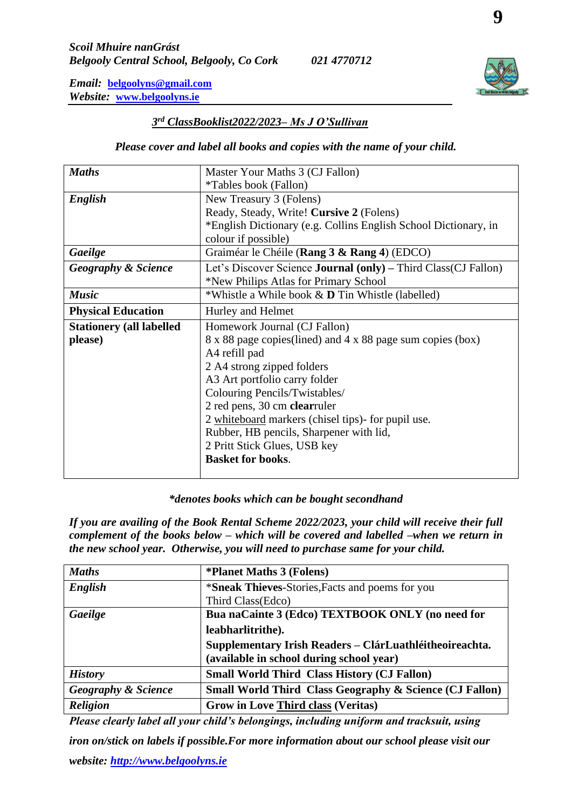## *3 rd ClassBooklist2022/2023– Ms J O'Sullivan*

## *Please cover and label all books and copies with the name of your child.*

| <b>Maths</b>                     | Master Your Maths 3 (CJ Fallon)                                        |
|----------------------------------|------------------------------------------------------------------------|
|                                  | <i>*Tables book (Fallon)</i>                                           |
| English                          | New Treasury 3 (Folens)                                                |
|                                  | Ready, Steady, Write! Cursive 2 (Folens)                               |
|                                  | *English Dictionary (e.g. Collins English School Dictionary, in        |
|                                  | colour if possible)                                                    |
| Gaeilge                          | Graiméar le Chéile (Rang 3 & Rang 4) (EDCO)                            |
| <b>Geography &amp; Science</b>   | Let's Discover Science <b>Journal</b> (only) – Third Class (CJ Fallon) |
|                                  | *New Philips Atlas for Primary School                                  |
| <b>Music</b>                     | *Whistle a While book & <b>D</b> Tin Whistle (labelled)                |
| <b>Physical Education</b>        | Hurley and Helmet                                                      |
| <b>Stationery (all labelled)</b> | Homework Journal (CJ Fallon)                                           |
| please)                          | 8 x 88 page copies (lined) and 4 x 88 page sum copies (box)            |
|                                  | A4 refill pad                                                          |
|                                  | 2 A4 strong zipped folders                                             |
|                                  | A3 Art portfolio carry folder                                          |
|                                  | Colouring Pencils/Twistables/                                          |
|                                  | 2 red pens, 30 cm clearruler                                           |
|                                  | 2 whiteboard markers (chisel tips)- for pupil use.                     |
|                                  | Rubber, HB pencils, Sharpener with lid,                                |
|                                  | 2 Pritt Stick Glues, USB key                                           |
|                                  | <b>Basket for books.</b>                                               |
|                                  |                                                                        |

#### *\*denotes books which can be bought secondhand*

*If you are availing of the Book Rental Scheme 2022/2023, your child will receive their full complement of the books below – which will be covered and labelled –when we return in the new school year. Otherwise, you will need to purchase same for your child.*

| <b>Maths</b>                   | <i><b>*Planet Maths 3 (Folens)</b></i>                                                              |
|--------------------------------|-----------------------------------------------------------------------------------------------------|
| <b>English</b>                 | *Sneak Thieves-Stories, Facts and poems for you                                                     |
|                                | Third Class (Edco)                                                                                  |
| Gaeilge                        | Bua naCainte 3 (Edco) TEXTBOOK ONLY (no need for                                                    |
|                                | leabharlitrithe).                                                                                   |
|                                | Supplementary Irish Readers - ClárLuathléitheoireachta.<br>(available in school during school year) |
| <b>History</b>                 | <b>Small World Third Class History (CJ Fallon)</b>                                                  |
| <b>Geography &amp; Science</b> | <b>Small World Third Class Geography &amp; Science (CJ Fallon)</b>                                  |
| <b>Religion</b>                | <b>Grow in Love Third class (Veritas)</b>                                                           |

*Please clearly label all your child's belongings, including uniform and tracksuit, using iron on/stick on labels if possible.For more information about our school please visit our website: [http://www.belgoolyns.ie](http://www.belgoolyns.ie/)*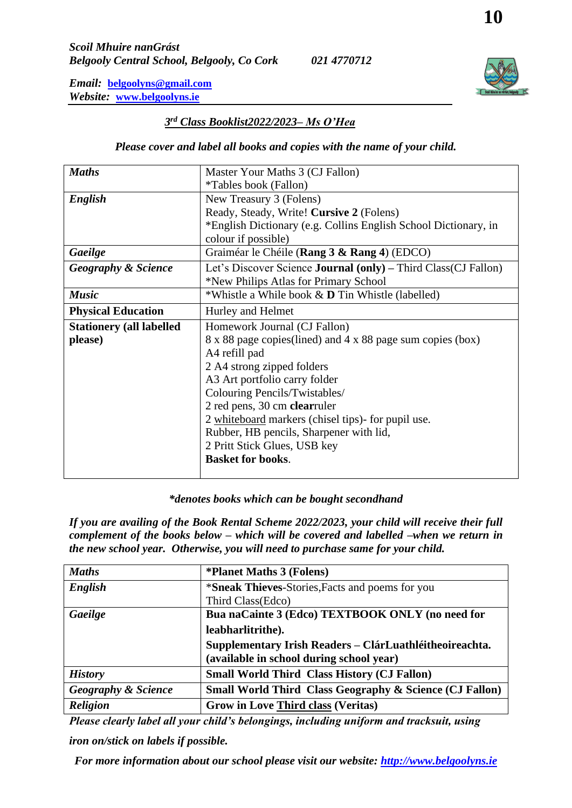## *3 rd Class Booklist2022/2023– Ms O'Hea*

#### *Please cover and label all books and copies with the name of your child.*

| <b>Maths</b>                     | Master Your Maths 3 (CJ Fallon)                                        |
|----------------------------------|------------------------------------------------------------------------|
|                                  | <i>*Tables book (Fallon)</i>                                           |
| English                          | New Treasury 3 (Folens)                                                |
|                                  | Ready, Steady, Write! Cursive 2 (Folens)                               |
|                                  | *English Dictionary (e.g. Collins English School Dictionary, in        |
|                                  | colour if possible)                                                    |
| Gaeilge                          | Graiméar le Chéile (Rang 3 & Rang 4) (EDCO)                            |
| <b>Geography &amp; Science</b>   | Let's Discover Science <b>Journal</b> (only) – Third Class (CJ Fallon) |
|                                  | *New Philips Atlas for Primary School                                  |
| <b>Music</b>                     | *Whistle a While book & <b>D</b> Tin Whistle (labelled)                |
| <b>Physical Education</b>        | Hurley and Helmet                                                      |
| <b>Stationery (all labelled)</b> | Homework Journal (CJ Fallon)                                           |
| please)                          | 8 x 88 page copies (lined) and 4 x 88 page sum copies (box)            |
|                                  | A4 refill pad                                                          |
|                                  | 2 A4 strong zipped folders                                             |
|                                  | A3 Art portfolio carry folder                                          |
|                                  | Colouring Pencils/Twistables/                                          |
|                                  | 2 red pens, 30 cm clearruler                                           |
|                                  | 2 whiteboard markers (chisel tips)- for pupil use.                     |
|                                  | Rubber, HB pencils, Sharpener with lid,                                |
|                                  | 2 Pritt Stick Glues, USB key                                           |
|                                  | <b>Basket for books.</b>                                               |
|                                  |                                                                        |

#### *\*denotes books which can be bought secondhand*

*If you are availing of the Book Rental Scheme 2022/2023, your child will receive their full complement of the books below – which will be covered and labelled –when we return in the new school year. Otherwise, you will need to purchase same for your child.*

| <b>Maths</b>                   | <i><b>*Planet Maths 3 (Folens)</b></i>                                                              |
|--------------------------------|-----------------------------------------------------------------------------------------------------|
| English                        | *Sneak Thieves-Stories, Facts and poems for you                                                     |
|                                | Third Class (Edco)                                                                                  |
| Gaeilge                        | Bua naCainte 3 (Edco) TEXTBOOK ONLY (no need for                                                    |
|                                | leabharlitrithe).                                                                                   |
|                                | Supplementary Irish Readers - ClárLuathléitheoireachta.<br>(available in school during school year) |
| <b>History</b>                 | <b>Small World Third Class History (CJ Fallon)</b>                                                  |
| <b>Geography &amp; Science</b> | <b>Small World Third Class Geography &amp; Science (CJ Fallon)</b>                                  |
| <b>Religion</b>                | <b>Grow in Love Third class (Veritas)</b>                                                           |

*Please clearly label all your child's belongings, including uniform and tracksuit, using iron on/stick on labels if possible.*

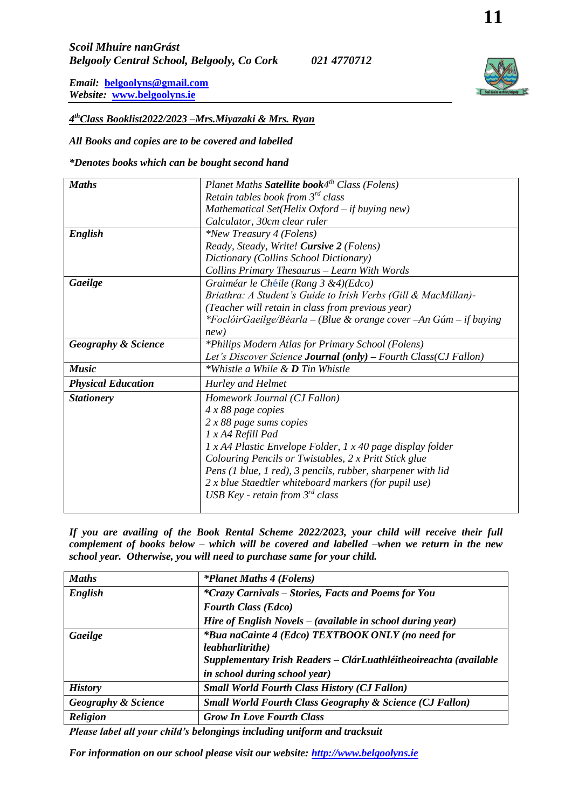*4 thClass Booklist2022/2023 –Mrs.Miyazaki & Mrs. Ryan*

*All Books and copies are to be covered and labelled* 

*\*Denotes books which can be bought second hand*

| <b>Maths</b>                   | Planet Maths Satellite book4 <sup>th</sup> Class (Folens)              |
|--------------------------------|------------------------------------------------------------------------|
|                                | Retain tables book from $3^{rd}$ class                                 |
|                                | Mathematical Set(Helix Oxford - if buying new)                         |
|                                | Calculator, 30cm clear ruler                                           |
| English                        | *New Treasury 4 (Folens)                                               |
|                                | Ready, Steady, Write! Cursive 2 (Folens)                               |
|                                | Dictionary (Collins School Dictionary)                                 |
|                                | Collins Primary Thesaurus - Learn With Words                           |
| Gaeilge                        | Graiméar le Chéile (Rang 3 & 4)(Edco)                                  |
|                                | Briathra: A Student's Guide to Irish Verbs (Gill & MacMillan)-         |
|                                | (Teacher will retain in class from previous year)                      |
|                                | *FoclóirGaeilge/Bèarla – (Blue & orange cover – An Gúm – if buying     |
|                                | new)                                                                   |
| <b>Geography &amp; Science</b> | *Philips Modern Atlas for Primary School (Folens)                      |
|                                | Let's Discover Science <b>Journal</b> (only) – Fourth Class(CJ Fallon) |
| <b>Music</b>                   | *Whistle a While & <b>D</b> Tin Whistle                                |
| <b>Physical Education</b>      | Hurley and Helmet                                                      |
| <b>Stationery</b>              | Homework Journal (CJ Fallon)                                           |
|                                | $4x88$ page copies                                                     |
|                                | $2 x 88$ page sums copies                                              |
|                                | 1 x A4 Refill Pad                                                      |
|                                | $1 x A4$ Plastic Envelope Folder, $1 x 40$ page display folder         |
|                                | Colouring Pencils or Twistables, 2 x Pritt Stick glue                  |
|                                | Pens (1 blue, 1 red), 3 pencils, rubber, sharpener with lid            |
|                                | 2 x blue Staedtler whiteboard markers (for pupil use)                  |
|                                | USB Key - retain from $3^{rd}$ class                                   |
|                                |                                                                        |

*If you are availing of the Book Rental Scheme 2022/2023, your child will receive their full complement of books below – which will be covered and labelled –when we return in the new school year. Otherwise, you will need to purchase same for your child.*

| <b>Maths</b>                   | <i>*Planet Maths 4 (Folens)</i>                                       |
|--------------------------------|-----------------------------------------------------------------------|
| English                        | *Crazy Carnivals – Stories, Facts and Poems for You                   |
|                                | <b>Fourth Class (Edco)</b>                                            |
|                                | Hire of English Novels - (available in school during year)            |
| Gaeilge                        | *Bua naCainte 4 (Edco) TEXTBOOK ONLY (no need for<br>leabharlitrithe) |
|                                | Supplementary Irish Readers - ClárLuathléitheoireachta (available     |
|                                | in school during school year)                                         |
| <b>History</b>                 | <b>Small World Fourth Class History (CJ Fallon)</b>                   |
| <b>Geography &amp; Science</b> | <b>Small World Fourth Class Geography &amp; Science (CJ Fallon)</b>   |
| <b>Religion</b>                | <b>Grow In Love Fourth Class</b>                                      |

*Please label all your child's belongings including uniform and tracksuit*

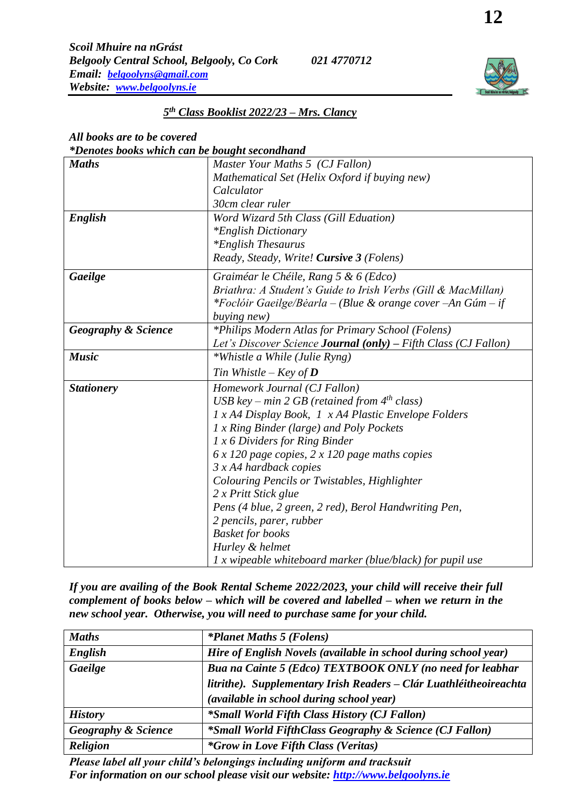### *5 th Class Booklist 2022/23 – Mrs. Clancy*

## *All books are to be covered*

*\*Denotes books which can be bought secondhand*

| <b>Maths</b>                   | Master Your Maths 5 (CJ Fallon)                                        |
|--------------------------------|------------------------------------------------------------------------|
|                                | Mathematical Set (Helix Oxford if buying new)                          |
|                                | Calculator                                                             |
|                                | 30cm clear ruler                                                       |
| English                        | Word Wizard 5th Class (Gill Eduation)                                  |
|                                | <i>*English Dictionary</i>                                             |
|                                | *English Thesaurus                                                     |
|                                | Ready, Steady, Write! Cursive 3 (Folens)                               |
| Gaeilge                        | Graiméar le Chéile, Rang 5 & 6 (Edco)                                  |
|                                | Briathra: A Student's Guide to Irish Verbs (Gill & MacMillan)          |
|                                | *Foclóir Gaeilge/Béarla – (Blue & orange cover – An Gúm – if           |
|                                | buying new)                                                            |
| <b>Geography &amp; Science</b> | *Philips Modern Atlas for Primary School (Folens)                      |
|                                | Let's Discover Science <b>Journal</b> (only) – Fifth Class (CJ Fallon) |
| <b>Music</b>                   | *Whistle a While (Julie Ryng)                                          |
|                                | Tin Whistle – Key of <b>D</b>                                          |
| <b>Stationery</b>              | Homework Journal (CJ Fallon)                                           |
|                                | USB key – min 2 GB (retained from $4^{th}$ class)                      |
|                                | 1 x A4 Display Book, 1 x A4 Plastic Envelope Folders                   |
|                                | 1 x Ring Binder (large) and Poly Pockets                               |
|                                | $1 x 6$ Dividers for Ring Binder                                       |
|                                | $6x120$ page copies, 2 x 120 page maths copies                         |
|                                | $3 x A4$ hardback copies                                               |
|                                | Colouring Pencils or Twistables, Highlighter                           |
|                                | 2 x Pritt Stick glue                                                   |
|                                | Pens (4 blue, 2 green, 2 red), Berol Handwriting Pen,                  |
|                                | 2 pencils, parer, rubber                                               |
|                                | <b>Basket for books</b>                                                |
|                                | Hurley & helmet                                                        |
|                                | 1 x wipeable whiteboard marker (blue/black) for pupil use              |

*If you are availing of the Book Rental Scheme 2022/2023, your child will receive their full complement of books below – which will be covered and labelled – when we return in the new school year. Otherwise, you will need to purchase same for your child.*

| <b>Maths</b>                   | <i>*Planet Maths 5 (Folens)</i>                                    |
|--------------------------------|--------------------------------------------------------------------|
| English                        | Hire of English Novels (available in school during school year)    |
| Gaeilge                        | Bua na Cainte 5 (Edco) TEXTBOOK ONLY (no need for leabhar          |
|                                | litrithe). Supplementary Irish Readers - Clár Luathléitheoireachta |
|                                | (available in school during school year)                           |
| <b>History</b>                 | <i>*Small World Fifth Class History (CJ Fallon)</i>                |
| <b>Geography &amp; Science</b> | <i>*Small World FifthClass Geography &amp; Science (CJ Fallon)</i> |
| <b>Religion</b>                | <i>*Grow in Love Fifth Class (Veritas)</i>                         |

*Please label all your child's belongings including uniform and tracksuit For information on our school please visit our website: [http://www.belgoolyns.ie](http://www.belgoolyns.ie/)*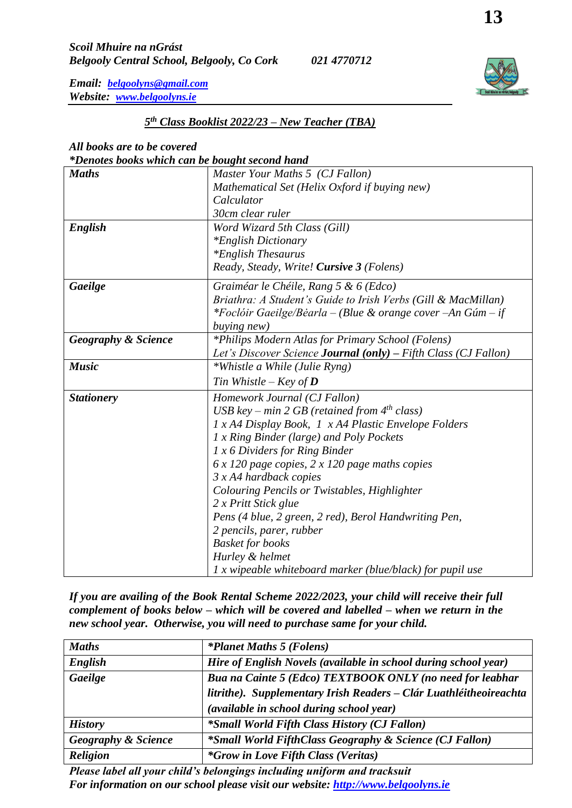## *5 th Class Booklist 2022/23 – New Teacher (TBA)*

## *All books are to be covered*

#### *\*Denotes books which can be bought second hand*

|                                | res boons much can be bought second hand                        |
|--------------------------------|-----------------------------------------------------------------|
| <b>Maths</b>                   | Master Your Maths 5 (CJ Fallon)                                 |
|                                | Mathematical Set (Helix Oxford if buying new)                   |
|                                | Calculator                                                      |
|                                | 30cm clear ruler                                                |
| English                        | Word Wizard 5th Class (Gill)                                    |
|                                | <i>*English Dictionary</i>                                      |
|                                | <i>*English Thesaurus</i>                                       |
|                                | Ready, Steady, Write! Cursive 3 (Folens)                        |
| Gaeilge                        | Graiméar le Chéile, Rang 5 & 6 (Edco)                           |
|                                | Briathra: A Student's Guide to Irish Verbs (Gill & MacMillan)   |
|                                | *Foclóir Gaeilge/Bèarla – (Blue & orange cover –An Gúm – if     |
|                                | <i>buying new</i> )                                             |
| <b>Geography &amp; Science</b> | *Philips Modern Atlas for Primary School (Folens)               |
|                                | Let's Discover Science Journal (only) - Fifth Class (CJ Fallon) |
| <b>Music</b>                   | *Whistle a While (Julie Ryng)                                   |
|                                | Tin Whistle – Key of $D$                                        |
| <b>Stationery</b>              | Homework Journal (CJ Fallon)                                    |
|                                | USB key – min 2 GB (retained from $4^{th}$ class)               |
|                                | 1 x A4 Display Book, 1 x A4 Plastic Envelope Folders            |
|                                | 1 x Ring Binder (large) and Poly Pockets                        |
|                                | 1 x 6 Dividers for Ring Binder                                  |
|                                | $6x120$ page copies, $2x120$ page maths copies                  |
|                                | $3 x A4$ hardback copies                                        |
|                                | Colouring Pencils or Twistables, Highlighter                    |
|                                | 2 x Pritt Stick glue                                            |
|                                | Pens (4 blue, 2 green, 2 red), Berol Handwriting Pen,           |
|                                | 2 pencils, parer, rubber                                        |
|                                | <b>Basket for books</b>                                         |
|                                | Hurley & helmet                                                 |
|                                | 1 x wipeable whiteboard marker (blue/black) for pupil use       |

*If you are availing of the Book Rental Scheme 2022/2023, your child will receive their full complement of books below – which will be covered and labelled – when we return in the new school year. Otherwise, you will need to purchase same for your child.*

| <b>Maths</b>                   | <i>*Planet Maths 5 (Folens)</i>                                    |
|--------------------------------|--------------------------------------------------------------------|
| English                        | Hire of English Novels (available in school during school year)    |
| Gaeilge                        | Bua na Cainte 5 (Edco) TEXTBOOK ONLY (no need for leabhar          |
|                                | litrithe). Supplementary Irish Readers - Clár Luathléitheoireachta |
|                                | (available in school during school year)                           |
| <b>History</b>                 | <i>*Small World Fifth Class History (CJ Fallon)</i>                |
| <b>Geography &amp; Science</b> | <i>*Small World FifthClass Geography &amp; Science (CJ Fallon)</i> |
| <b>Religion</b>                | <i>*Grow in Love Fifth Class (Veritas)</i>                         |

*Please label all your child's belongings including uniform and tracksuit For information on our school please visit our website: [http://www.belgoolyns.ie](http://www.belgoolyns.ie/)*

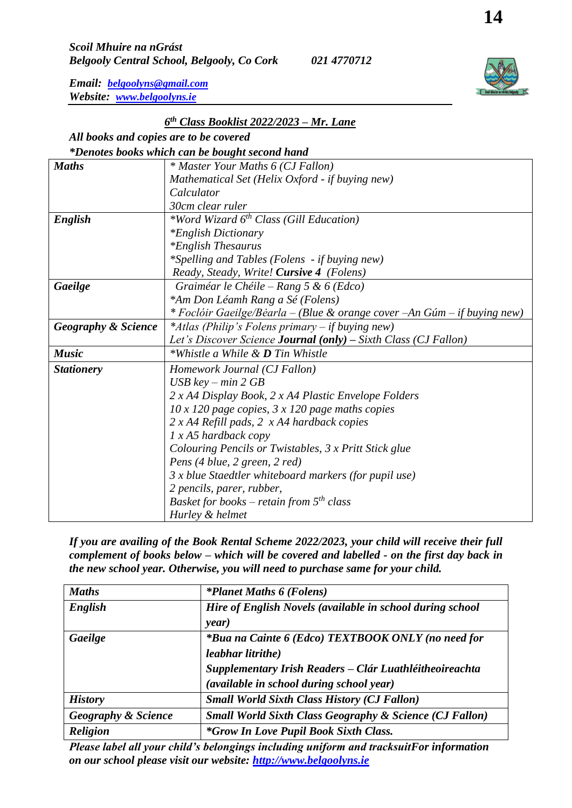## *6 th Class Booklist 2022/2023 – Mr. Lane*

# *All books and copies are to be covered*

|                                | *Denotes books which can be bought second hand                            |  |  |
|--------------------------------|---------------------------------------------------------------------------|--|--|
| <b>Maths</b>                   | * Master Your Maths 6 (CJ Fallon)                                         |  |  |
|                                | Mathematical Set (Helix Oxford - if buying new)                           |  |  |
|                                | Calculator                                                                |  |  |
|                                | 30cm clear ruler                                                          |  |  |
| English                        | *Word Wizard 6 <sup>th</sup> Class (Gill Education)                       |  |  |
|                                | <i>*English Dictionary</i>                                                |  |  |
|                                | <i>*English Thesaurus</i>                                                 |  |  |
|                                | *Spelling and Tables (Folens - if buying new)                             |  |  |
|                                | Ready, Steady, Write! Cursive 4 (Folens)                                  |  |  |
| Gaeilge                        | Graiméar le Chéile – Rang 5 & 6 (Edco)                                    |  |  |
|                                | *Am Don Léamh Rang a Sé (Folens)                                          |  |  |
|                                | * Foclóir Gaeilge/Béarla – (Blue & orange cover - An Gúm – if buying new) |  |  |
| <b>Geography &amp; Science</b> | <i>*Atlas (Philip's Folens primary – if buying new)</i>                   |  |  |
|                                | Let's Discover Science <b>Journal</b> (only) – Sixth Class (CJ Fallon)    |  |  |
| <b>Music</b>                   | *Whistle a While & <b>D</b> Tin Whistle                                   |  |  |
| <b>Stationery</b>              | Homework Journal (CJ Fallon)                                              |  |  |
|                                | $\overline{USB}$ key – min 2 GB                                           |  |  |
|                                | 2 x A4 Display Book, 2 x A4 Plastic Envelope Folders                      |  |  |
|                                | $10 \times 120$ page copies, $3 \times 120$ page maths copies             |  |  |
|                                | $2 x A4$ Refill pads, $2 x A4$ hardback copies                            |  |  |
|                                | $1 x A5$ hardback copy                                                    |  |  |
|                                | Colouring Pencils or Twistables, 3 x Pritt Stick glue                     |  |  |
|                                | Pens (4 blue, 2 green, 2 red)                                             |  |  |
|                                | 3 x blue Staedtler whiteboard markers (for pupil use)                     |  |  |
|                                | 2 pencils, parer, rubber,                                                 |  |  |
|                                | Basket for books – retain from $5th$ class                                |  |  |
|                                | Hurley & helmet                                                           |  |  |

*If you are availing of the Book Rental Scheme 2022/2023, your child will receive their full complement of books below – which will be covered and labelled - on the first day back in the new school year. Otherwise, you will need to purchase same for your child.*

| <b>Maths</b>                   | <i>*Planet Maths 6 (Folens)</i>                                    |
|--------------------------------|--------------------------------------------------------------------|
| English                        | Hire of English Novels (available in school during school          |
|                                | year)                                                              |
| Gaeilge                        | *Bua na Cainte 6 (Edco) TEXTBOOK ONLY (no need for                 |
|                                | leabhar litrithe)                                                  |
|                                | Supplementary Irish Readers - Clár Luathléitheoireachta            |
|                                | (available in school during school year)                           |
| <b>History</b>                 | <b>Small World Sixth Class History (CJ Fallon)</b>                 |
| <b>Geography &amp; Science</b> | <b>Small World Sixth Class Geography &amp; Science (CJ Fallon)</b> |
| <b>Religion</b>                | <i>*Grow In Love Pupil Book Sixth Class.</i>                       |

*Please label all your child's belongings including uniform and tracksuitFor information on our school please visit our website: [http://www.belgoolyns.ie](http://www.belgoolyns.ie/)*

**14**